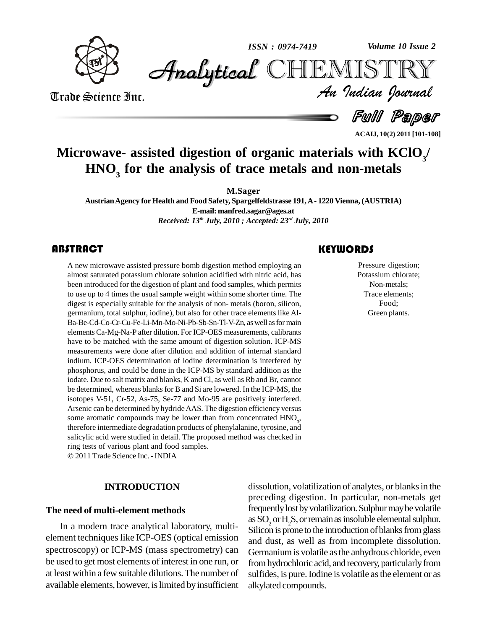

*Volume 10 Issue 2*



Trade Science Inc. Trade Science Inc.

*Volume 10 Issue 2*<br>IISTRY<br>*Indian Iournal* 

d *Full Paper* 

**ACAIJ, 10(2) 2011 [101-108]**

# **Microwave- assisted digestion of organic materials with KClO<sup>3</sup> / HNO<sup>3</sup> for the analysis of trace metals and non-metals**

**M.Sager**

**AustrianAgency forHealth and Food Safety, Spargelfeldstrasse 191,A- 1220 Vienna, (AUSTRIA) E-mail: [manfred.sagar@ages.at](mailto:manfred.sagar@ages.at)** *Received: 13 th July, 2010 ; Accepted: 23 rd July, 2010*

## **ABSTRACT**

A new microwave assisted pressure bomb digestion method employing an almost saturated potassium chlorate solution acidified with nitric acid, has been introduced for the digestion of plant and food samples, which permits A new microwave assisted pressure bomb digestion method employing an almost saturated potassium chlorate solution acidified with nitric acid, has to use up to 4 times the usual sample weight within some shorter time. The digest is especially suitable for the analysis of non- metals (boron, silicon, germanium, total sulphur, iodine), but also for other trace elements like Al- Ba-Be-Cd-Co-Cr-Cu-Fe-Li-Mn-Mo-Ni-Pb-Sb-Sn-Tl-V-Zn, aswell asfor main elementsCa-Mg-Na-P after dilution. For ICP-OES measurements, calibrants have to be matched with the same amount of digestion solution. ICP-MS measurements were done after dilution and addition of internal standard indium. ICP-OES determination of iodine determination is interfered by phosphorus, and could be done in the ICP-MS by standard addition as the iodate. Due to salt matrix and blanks, K and Cl, as well as Rb and Br, cannot be determined, whereas blanks for B and Si are lowered. In the ICP-MS, the isotopes V-51, Cr-52, As-75, Se-77 and Mo-95 are positively interfered. Arsenic can be determined by hydrideAAS. The digestion efficiency versus some aromatic compounds may be lower than from concentrated  $HNO<sub>3</sub>$ , therefore intermediate degradation products of phenylalanine, tyrosine, and salicylic acid were studied in detail. The proposed method was checked in ring tests of various plant and food samples. 2011 Trade Science Inc.-INDIA

## **INTRODUCTION**

## **The need of multi-element methods**

element techniques like ICP-OES (optical emission spectroscopy) or ICP-MS (mass spectrometry) can be used to get most elements of interest in one run, or at least within a few suitable dilutions.The number of available elements, however, is limited by insufficient

## **KEYWORDS**

Pressure digest<br>Potassium chlor<br>Non-metals; Pressure digestion; Potassium chlorate; Non-metals; Trace elements; Food; Green plants.

In a modern trace analytical laboratory, multi-<br>Silicon is prone to the introduction of blanks from glass dissolution, volatilization of analytes, or blanks in the preceding digestion. In particular, non-metals get frequently lost by volatilization. Sulphur may be volatile as SO<sub>2</sub> or H<sub>2</sub>S, or remain as insoluble elemental sulphur. and dust, as well as from incomplete dissolution. Germanium is volatile as the anhydrous chloride, even from hydrochloric acid, and recovery, particularly from sulfides, is pure. Iodine is volatile as the element or as alkylated compounds.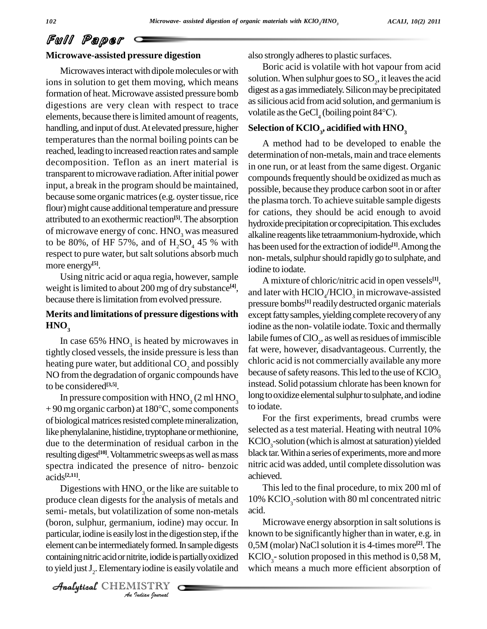### **Microwave-assisted pressure digestion**

Microwaves interact with dipole molecules or with ions in solution to get them moving, which means formation of heat. Microwave assisted pressure bomb digestions are very clean with respect to trace elements, because there is limited amount of reagents, handling, and input of dust. At elevated pressure, higher temperatures than the normal boiling points can be reached, leading to increased reaction rates and sample decomposition. Teflon as an inert material is transparent to microwave radiation. After initial power input, a break in the program should be maintained, because some organic matrices (e.g. oyster tissue, rice flour) might cause additional temperature and pressure attributed to an exothermic reaction **[5]**.The absorption of microwave energy of conc. HNO<sub>3</sub> was measured to be 80%, of HF 57%, and of  $H_2SO_4$  45 % with respect to pure water, but salt solutions absorb much more energy **[5]**.

Using nitric acid or aqua regia, however, sample weight is limited to about 200 mg of dry substance<sup>[4]</sup>, and because there islimitation fromevolved pressure.

## **Merits and limitations of pressure digestions with**  $HNO<sub>3</sub>$

In case 65%  $HNO<sub>3</sub>$  is heated by microwaves in  $\frac{I_{ADI}}{f}$ tightly closed vessels, the inside pressure is less than heating pure water, but additional CO<sub>2</sub> and possibly NO fromthe degradation of organic compounds have to be considered **[3,5]**.

In pressure composition with  $HNO<sub>3</sub>$  (2 ml  $HNO<sub>3</sub>$ )  $^{100}$ to be considered<sup>[3,5]</sup>.<br>In pressure composition with  $HNO_3$  (2 ml  $HNO_3$  long<br>+ 90 mg organic carbon) at 180°C, some components to io of biological matrices resisted complete mineralization, like phenylalanine, histidine, tryptophane or methionine, due to the determination of residual carbon in the resulting digest<sup>[10]</sup>. Voltammetric sweeps as well as mass black spectra indicated the presence of nitro- benzoic acids **[2,11]**.

*(boron, sulphur, germanium, iodine) may occur. In* Mi *Indian*, come<br>*Instelly formed.*<br>*Itrite, iodide is*<br>*ISTRY*<br>*Indian Journal* particular, iodine is easily lost in the digestion step, if the know Digestions with  $HNO<sub>3</sub>$  or the like are suitable to produce clean digests for the analysis of metals and semi- metals, but volatilization of some non-metals acid. element can be intermediately formed. In sample digests containing nitric acid or nitrite, iodide is partially oxidized to yield just  $J_2$ . Elementary iodine is easily volatile and which

CHEMISTRY

also strongly adheres to plastic surfaces.

Boric acid is volatile with hot vapour from acid solution. When sulphur goes to  $\mathrm{SO}_2$ , it leaves the acid digest as a gas immediately. Silicon may be precipitated assilicious acid fromacid solution, and germanium is volatile as the GeCl<sub>4</sub> (boiling point 84 $\rm ^{o}C$ ).

## $\mathbf{S}$ election of  $\mathbf{KClO}_3$ , acidified with  $\mathbf{HNO}_3$

A method had to be developed to enable the determination of non-metals, main and trace elements in one run, or at least from the same digest. Organic compounds frequently should be oxidized as much as possible, because they produce carbon soot in or after the plasma torch. To achieve suitable sample digests for cations, they should be acid enough to avoid hydroxide precipitation or coprecipitation. This excludes alkaline reagents like tetraammonium-hydroxide, which has been used for the extraction of iodide<sup>[1]</sup>. Among the non-metals, sulphur should rapidly go to sulphate, and iodine to iodate.

A mixture of chloric/nitric acid in open vessels **[1]**, and later with  $\text{HClO}_4/\text{HClO}_3$  in microwave-assisted pressure bombs **[1]** readilydestructed organic materials except fatty samples, yielding complete recovery of any iodine asthe non- volatile iodate.Toxic and thermally labile fumes of  $\text{ClO}_2$ , as well as residues of immiscible fat were, however, disadvantageous. Currently, the chloric acid is not commercially available any more because of safety reasons. This led to the use of  $KClO<sub>3</sub>$ instead. Solid potassium chlorate has been known for long to oxidize elemental sulphur to sulphate, and iodine to iodate.

For the first experiments, bread crumbs were selected as a test material. Heating with neutral 10%  $KClO<sub>2</sub>$ -solution (which is almost at saturation) yielded black tar. Within a series of experiments, more and more nitric acid was added, until complete dissolution was achieved.

Thisled to the final procedure, to mix 200 ml of 10%  $KClO<sub>3</sub>$ -solution with 80 ml concentrated nitric

Microwave energy absorption in salt solutions is known to be significantly higher than in water, e.g. in 0,5M (molar) NaClsolution it is 4-times more **[2]**.The  $KClO<sub>3</sub>$ -solution proposed in this method is 0,58 M, which means a much more efficient absorption of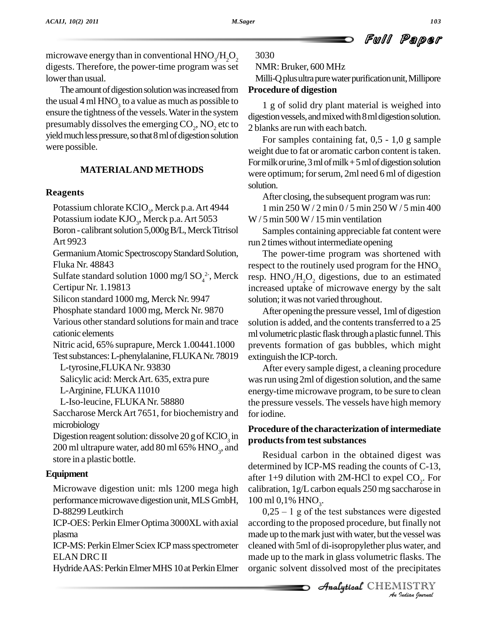microwave energy than in conventional  $HNO_3/H_2O_2 = 3$ digests. Therefore, the power-time program was set lower than usual.

The amount of digestion solution was increased from the usual 4 ml  $HNO<sub>3</sub>$  to a value as much as possible to  $1_{1}$  g ensure the tightness of the vessels. Water in the system presumably dissolves the emerging  $CO_2$ , NO<sub>2</sub> etc to  $2$  blank yield much less pressure, so that 8 ml of digestion solution were possible.

## **MATERIALAND METHODS**

### **Reagents**

Potassium chlorate  $KClO_3$ , Merck p.a. Art 4944 Potassium iodate  $KJO_3$ , Merck p.a. Art 5053 V Boron - calibrant solution 5,000g B/L, Merck Titrisol Art 9923 Germanium Atomic Spectroscopy Standard Solution, Fluka Nr.48843 Sulfate standard solution 1000 mg/l  $SO_4^2$ <sup>-</sup>, Merck resp. F Certipur Nr. 1.19813 Silicon standard 1000 mg, Merck Nr. 9947 Phosphate standard 1000 mg, Merck Nr. 9870 Various other standard solutions for main and trace cationic elements Nitric acid, 65% suprapure, Merck 1.00441.1000 Test substances: L-phenylalanine, FLUKANr. 78019 L-tyrosine,FLUKANr. 93830 Salicylic acid: MerckArt. 635, extra pure L-Arginine, FLUKA11010

L-Iso-leucine, FLUKANr. 58880

Saccharose MerckArt 7651, for biochemistry and microbiology

Digestion reagent solution: dissolve 20 g of  $KClO<sub>3</sub>$  in 200 ml ultrapure water, add 80 ml 65%  $HNO<sub>3</sub>$ , and store in a plastic bottle.

## **Equipment**

Microwave digestion unit: mls 1200 mega high performance microwave digestion unit, MLS GmbH, D-88299 Leutkirch

ICP-OES: Perkin Elmer Optima 3000XL with axial plasma

ICP-MS: Perkin Elmer Sciex ICP mass spectrometer ELAN DRC II

Hydride AAS: Perkin Elmer MHS 10 at Perkin Elmer

#### 3030

NMR:Bruker, 600 MHz

Milli-Q plus ultra pure water purification unit, Millipore **Procedure of digestion**

1 g of solid dry plant material is weighed into digestion vessels, and mixed with 8 ml digestion solution. 2 blanks are run with each batch.

For samples containing fat, 0,5 - 1,0 g sample weight due to fat or aromatic carbon content is taken. For milk or urine,  $3$  ml of milk  $+5$  ml of digestion solution were optimum; for serum, 2ml need 6 ml of digestion solution.

After closing, the subsequent program was run:

1 min 250 W / 2 min 0 / 5 min 250 W / 5 min 400  $W/5$  min 500 W / 15 min ventilation

Samples containing appreciable fat content were run 2 times without intermediate opening

The power-time program was shortened with respect to the routinely used program for the  $HNO<sub>3</sub>$ resp.  $HNO_3/H_2O_2$  digestions, due to an estimated increased uptake of microwave energy by the salt solution; itwas not varied throughout.

After opening the pressure vessel, 1ml of digestion solution is added, and the contents transferred to a 25 ml volumetric plastic flask through a plastic funnel. This prevents formation of gas bubbles, which might extinguish the ICP-torch.

After every sample digest, a cleaning procedure was run using 2ml of digestion solution, and the same energy-time microwave program, to be sure to clean the pressure vessels. The vessels have high memory foriodine.

## in **productsfrom testsubstances Procedure of the characterization of intermediate**

Residual carbon in the obtained digest was determined by ICP-MS reading the counts of C-13, after 1+9 dilution with 2M-HCl to expel  $CO<sub>2</sub>$ . For calibration, 1g/Lcarbon equals 250 mg saccharose in  $100 \text{ ml } 0,1\% \text{ HNO}_3.$ 

*An*according to the proposed procedure, but finally not *I* Finally not<br> *I* example was<br> *I* flasks. The<br> *I* ISTRY<br> *I Indian Iournal* made up to the mark just with water, but the vessel was  $0,25 - 1$  g of the test substances were digested cleaned with 5ml of di-isopropylether plus water, and made up to the mark in glass volumetric flasks. The organic solvent dissolved most of the precipitates

CHEMISTRY

Full Paper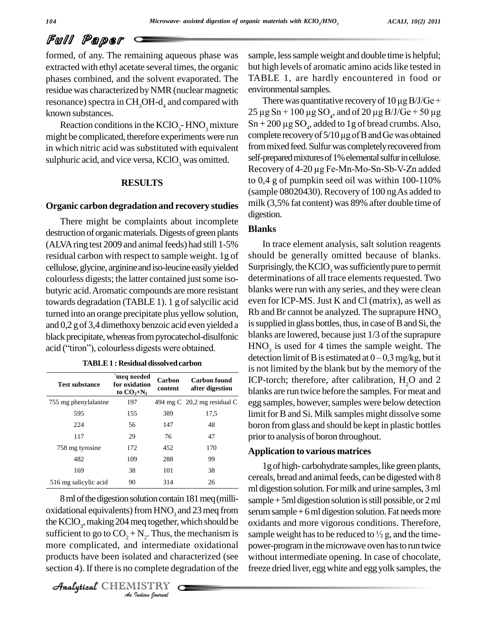formed, of any. The remaining aqueous phase was extracted with ethyl acetate several times, the organic phases combined, and the solvent evaporated. The residue was characterized by NMR (nuclear magnetic resonance) spectra in CH<sub>3</sub>OH-d<sub>4</sub> and compared with There was quantitative recovery of 10 µg B/J/Ge + known substances.

might be complicated, therefore experiments were run in which nitric acid was substituted with equivalent sulphuric acid, and vice versa,  $KClO<sub>3</sub>$  was omitted.

### **RESULTS**

#### **Organic carbon degradation and recovery studies**

There might be complaints about incomplete destruction of organic materials. Digests of green plants (ALVA ring test 2009 and animal feeds) had still 1-5% residual carbon with respect to sample weight. 1g of cellulose,glycine, arginineandiso-leucine easilyyielded colourless digests; the latter contained just some isobutyric acid.Aromatic compounds are more resistant towards degradation (TABLE 1). 1 g of salycilic acid turned into an orange precipitate plus yellow solution, and 0,2 gof 3,4 dimethoxybenzoic acid even yielded a black precipitate, whereas from pyrocatechol-disulfonic blank and 0,2 g of 3,4 dimethoxy benzoic acid even yielded<br>black precipitate, whereas from pyrocatechol-disulfoni<br>acid ("tiron"), colourless digests were obtained.

| TABLE 1 : Residual dissolved carbon |                                             |                   |                                        |
|-------------------------------------|---------------------------------------------|-------------------|----------------------------------------|
| Test substance                      | 'meg needed<br>for oxidation<br>to $CO2+N2$ | Carbon<br>content | <b>Carbon</b> found<br>after digestion |
| 755 mg phenylalanine                | 197                                         |                   | 494 mg C 20,2 mg residual C            |
| 595                                 | 155                                         | 389               | 17,5                                   |
| 224                                 | 56                                          | 147               | 48                                     |
| 117                                 | 29                                          | 76                | 47                                     |
| 758 mg tyrosine                     | 172                                         | 452               | 170                                    |
| 482                                 | 109                                         | 288               | 99                                     |
| 169                                 | 38                                          | 101               | 38                                     |
| 516 mg salicylic acid               | 90                                          | 314               | 26                                     |

the KClO<sub>3</sub>, making 204 meq together, which should be oxide *Indian*<br>*I*<sub>2</sub>. Thus, the intermediant<br>lated and changed intermediant complete de sufficient to go to  $CO_2 + N_2$ . Thus, the mechanism is sample we 8 ml of the digestion solution contain 181 meq (millioxidational equivalents) from  $HNO<sub>3</sub>$  and 23 meq from more complicated, and intermediate oxidational products have been isolated and characterized (see section 4). If there is no complete degradation of the

CHEMISTRY

sample, less sample weight and double time is helpful; but high levels of aromatic amino acids like tested in TABLE 1, are hardly encountered in food or<br>environmental samples.<br>There was quantitative recovery of  $10 \mu$ g B/J/Ge + environmental samples.

Reaction conditions in the  $KClO<sub>3</sub>$ -HNO<sub>3</sub> mixture  $Sn + 200 \mu g SO<sub>4</sub>$ , added to 1g of bread crumbs. Also,<br>ht be complicated, therefore experiments were run complete recovery of 5/10  $\mu g$  of B and Ge was obtained environmental samples.<br>
There was quantitative recovery of  $10 \mu$ g B/J/Ge +<br>  $25 \mu$ g Sn +  $100 \mu$ g SO<sub>4</sub>, and of  $20 \mu$ g B/J/Ge +  $50 \mu$ g There was quantita<br>25 µg Sn + 100 µg SO<br>Sn + 200 µg SO<sub>4</sub>, adde  $Sn + 200 \mu g SO$ <sub>4</sub>, added to 1g of bread crumbs. Also, 25 µg Sn + 100 µg SO<sub>4</sub>, and of 20 µg B/J/Ge + 50 µg<br>Sn + 200 µg SO<sub>4</sub>, added to 1g of bread crumbs. Also,<br>complete recovery of 5/10 µg of B and Ge was obtained from mixed feed. Sulfur was completely recovered from self-prepared mixtures of 1% elemental sulfur in cellulose. Recovery of 4-20 µg Fe-Mn-Mo-Sn-Sb-V-Zn added to 0,4 g of pumpkin seed oil was within 100-110% (sample 08020430).Recovery of 100 ngAs added to milk (3,5% fat content) was 89% after double time of digestion.

### **Blanks**

In trace element analysis, salt solution reagents should be generally omitted because of blanks. Surprisingly, the  $KClO<sub>3</sub>$  was sufficiently pure to permit determinations of all trace elements requested. Two blanks were run with any series, and they were clean even for ICP-MS. Just K and Cl (matrix), as well as Rb and Br cannot be analyzed. The suprapure  $HNO<sub>3</sub>$ is supplied in glass bottles, thus, in case of B and Si, the blanks are lowered, because just 1/3 of the suprapure  $HNO<sub>3</sub>$  is used for 4 times the sample weight. The blanks are lowered, because just 1/3 of the suprapure  $HNO<sub>3</sub>$  is used for 4 times the sample weight. The detection limit of B is estimated at  $0-0.3$  mg/kg, but it is not limited by the blank but by the memory of the Carbon found ICP-torch; therefore, after calibration,  $H_2O$  and 2 blanks are run twice before the samples. For meat and **after digestion** 755 mg phenylalanine 197 494 mg C 20,2 mg residual C egg samples, however, samples were below detection limit for B and Si. Milk samples might dissolve some boron from glass and should be kept in plastic bottles prior to analysis of boron throughout.

#### **Application to various matrices**

1g of high- carbohydrate samples, like green plants, cereals, bread and animal feeds, can be digested with 8 ml digestion solution.Formilk and urine samples, 3ml sample  $+5$ ml digestion solution is still possible, or 2 ml serum sample + 6 ml digestion solution. Fat needs more<br>oxidants and more vigorous conditions. Therefore,<br>sample weight has to be reduced to  $\frac{1}{2}$  g, and the timeoxidants and more vigorous conditions. Therefore, power-program in the microwave oven has to run twice without intermediate opening. In case of chocolate, freeze dried liver, eggwhite and egg yolk samples, the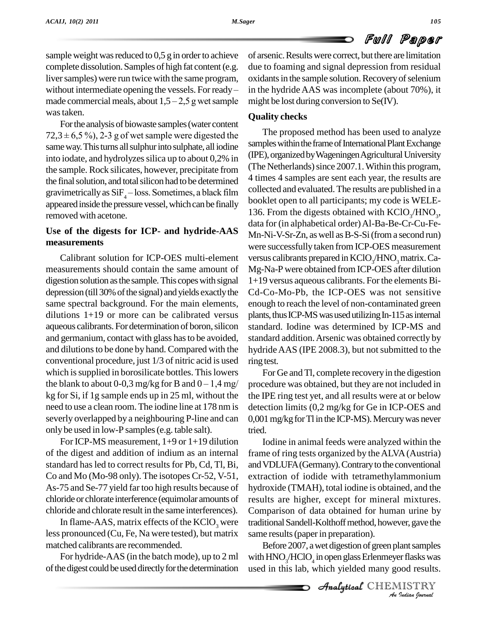sample weight was reduced to  $0.5$  g in order to achieve complete dissolution. Samples of high fat content (e.g. liver samples) were run twice with the same program, ox complete dissolution. Samples of high fat content (e.g. due to liver samples) were run twice with the same program, oxidan without intermediate opening the vessels. For ready – in the l without intermediate opening the vessels. For ready – made commercial meals, about  $1,5 - 2,5$  g wet sample was taken.

Forthe analysis of biowaste samples(water content  $72,3 \pm 6,5\%$ , 2-3 g of wet sample were digested the same way. This turns all sulphur into sulphate, all iodine into iodate, and hydrolyzes silica up to about 0,2% in the sample. Rock silicates, however, precipitate from the final solution, and total silicon had to be determined gravimetrically as  $SiF<sub>4</sub> - loss$ . Sometimes, a black film appeared inside the pressure vessel, which can be finally removed with acetone.

## **Use of the digests for ICP- and hydride-AAS measurements**

Calibrant solution for ICP-OES multi-element measurements should contain the same amount of digestion solution asthe sample.This copeswith signal depression (till 30% of the signal) and yields exactly the same spectral background. For the main elements, dilutions  $1+19$  or more can be calibrated versus aqueous calibrants. For determination of boron, silicon and germanium, contact with glass hasto be avoided, and dilutionsto be done by hand. Compared with the conventional procedure, just  $1/3$  of nitric acid is used ring tes<br>which is supplied in borosilicate bottles. This lowers For<br>the blank to about 0-0,3 mg/kg for B and  $0-1,4$  mg/proced which is supplied in borosilicate bottles. This lowers kg for Si, if 1g sample ends up in 25 ml, without the need to use a clean room.The iodine line at 178 nm is severly overlapped by a neighbouring P-line and can only be used in low-P samples(e.g. table salt).

For ICP-MS measurement, 1+9 or 1+19 dilution of the digest and addition of indium as an internal standard has led to correct results for Pb, Cd, Tl, Bi, Co and Mo (Mo-98 only). The isotopes Cr-52, V-51, As-75 and Se-77 yield fartoo high results because of chloride or chlorate interference (equimolar amounts of chloride and chlorate result in the same interferences).

In flame-AAS, matrix effects of the  $KClO<sub>3</sub>$  were less pronounced (Cu, Fe, Na were tested), but matrix matched calibrants are recommended.

For hydride-AAS (in the batch mode), up to 2 ml of the digest could be used directly for the determination of arsenic.Resultswere correct, butthere are limitation due to foaming and signal depression from residual oxidants in the sample solution. Recovery of selenium in the hydride AAS was incomplete (about 70%), it might be lost during conversion to Se(IV).

## **Quality checks**

The proposed method has been used to analyze samples within the frame of International Plant Exchange (IPE),organizedbyWageningenAgriculturalUniversity (The Netherlands) since 2007.1. Within this program, 4 times 4 samples are sent each year, the results are collected and evaluated.The results are published in a booklet open to all participants; my code is WELE- 136. From the digests obtained with  $KClO<sub>3</sub>/HNO<sub>3</sub>$ , data for (in alphabetical order) Al-Ba-Be-Cr-Cu-Fe-Mn-Ni-V-Sr-Zn, as well as B-S-Si (from a second run) were successfully taken from ICP-OES measurement versus calibrants prepared in KClO<sub>s</sub>/HNO<sub>s</sub> matrix. Ca-Mg-Na-P were obtained from ICP-OES after dilution 1+19 versus aqueous calibrants. For the elements Bi- Cd-Co-Mo-Pb, the ICP-OES was not sensitive enough to reach the level of non-contaminated green plants, thus ICP-MS was used utilizing In-115 as internal standard. Iodine was determined by ICP-MS and standard addition.Arsenic was obtained correctly by hydride  $AAS$  (IPE 2008.3), but not submitted to the ring test.

For Ge and Tl, complete recovery in the digestion procedure was obtained, but they are not included in the IPE ring testyet, and all results were at or below detection limits (0,2 mg/kg for Ge in ICP-OES and 0,001 mg/kg for Tl in the ICP-MS). Mercury was never tried.<br>Iodine in animal feeds were analyzed within the

*An*traditionalSandell-Kolthoffmethod,however, gave the same results (paper in preparation). frame of ring tests organized by theALVA(Austria) and VDLUFA (Germany). Contrary to the conventional extraction of iodide with tetramethylammonium hydroxide (TMAH), total iodine is obtained, and the results are higher, except for mineral mixtures. Comparison of data obtained for human urine by

*Indian*<br>*Indian*<br>*IISTRY*<br>*IISTRY*<br>*Indian Iournal* Before 2007, a wet digestion of green plant samples with  $\mathrm{HNO}_3/\mathrm{HClO}_4$  in open glass Erlenmeyer flasks was used in this lab, which yielded many good results.

CHEMISTRY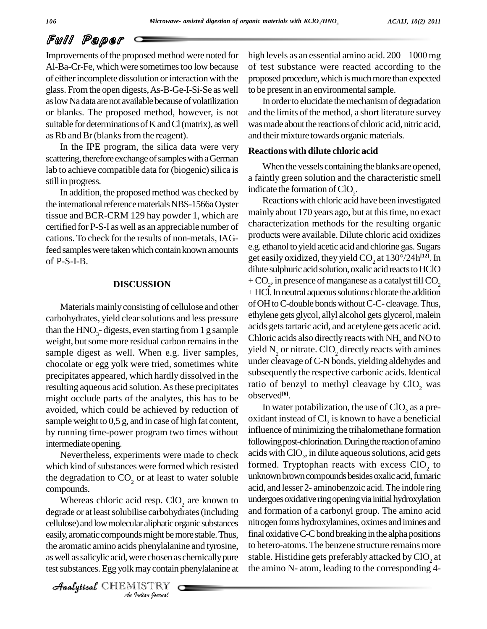Improvements of the proposed method were noted for Al-Ba-Cr-Fe, which were sometimes too low because of either incomplete dissolution or interaction with the glass. Fromthe open digests,As-B-Ge-I-Si-Se as well aslowNadata arenot availablebecauseofvolatilization or blanks. The proposed method, however, is not suitable for determinations of K and Cl (matrix), as well as Rb and Br (blanks from the reagent).

In the IPE program, the silica data were very scattering, therefore exchange of samples with a German lab to achieve compatible data for (biogenic) silica is still in progress.

In addition, the proposed method was checked by the international reference materials NBS-1566a Oyster tissue and BCR-CRM 129 hay powder 1, which are certified for P-S-I as well as an appreciable number of cations.To check for the results of non-metals, IAGfeed samples were taken which contain known amounts of P-S-I-B.

### **DISCUSSION**

Materials mainly consisting of cellulose and other carbohydrates, yield clearsolutions and less pressure than the  $HNO<sub>3</sub>$ - digests, even starting from 1 g sample weight, but some more residual carbon remains in the sample digest as well. When e.g. liver samples, chocolate or egg yolk were tried, sometimes white precipitates appeared, which hardly dissolved in the resulting aqueous acid solution.Asthese precipitates might occlude parts of the analytes, this has to be  $\frac{3.00 \text{ s}}{2}$ .<br>avoided, which could be achieved by reduction of In water potabilization, the use of ClO<sub>2</sub> as a preavoided, which could be achieved by reduction of sample weight to 0,5 g, and in case of high fat content, by running time-power program two times without intermediate opening.

Nevertheless, experiments were made to check which kind of substances were formed which resisted the degradation to  $CO<sub>2</sub>$  or at least to water soluble compounds.

*Ancellulose*) and low molecular aliphatic organic substances intro *Indian Indian*<br>*Is phenylalani*<br>*ISTRY*<br>*ISTRY* easily, aromatic compounds might be more stable. Thus, fir Whereas chloric acid resp.  $ClO<sub>2</sub>$  are known to degrade or at least solubilise carbohydrates (including the aromatic amino acids phenylalanine and tyrosine, as well as salicylic acid, were chosen as chemically pure test substances. Egg yolk may contain phenylalanine at

CHEMISTRY

high levels as an essential amino acid.  $200 - 1000$  mg of test substance were reacted according to the proposed procedure, which is much more than expected to be present in an environmental sample.

In order to elucidate the mechanism of degradation and the limits of the method, a short literature survey was made about the reactions of chloric acid, nitric acid, and their mixture towards organic materials.

#### **Reactions with dilute chloric acid**

When the vessels containing the blanks are opened, a faintly green solution and the characteristic smell indicate the formation of  $ClO<sub>2</sub>$ .

Reactions with chloric acid have been investigated mainly about 170 years ago, but at this time, no exact characterization methods for the resulting organic products were available. Dilute chloric acid oxidizes<br>e.g. ethanol to yield acetic acid and chlorine gas. Sugars<br>get easily oxidized, they yield CO<sub>2</sub> at 130°/24h<sup>[12]</sup>. In e.g. ethanol toyield acetic acid andchlorine gas.Sugars get easily oxidized, they yield CO<sub>2</sub> at 130°/24h<sup>[12]</sup>. In dilute sulphuric acid solution, oxalic acid reacts to HClO + CO<sub>2</sub>, in presence of manganese as a catalyst till CO<sub>2</sub> + HCl. In neutral aqueous solutions chlorate the addition ofOHtoC-double bondswithoutC-C- cleavage.Thus, ethylene gets glycol, allyl alcohol gets glycerol,malein acids gets tartaric acid, and acetylene gets acetic acid. Chloric acids also directly reacts with  $NH<sub>3</sub>$  and NO to yield  $N<sub>2</sub>$  or nitrate. ClO<sub>2</sub> directly reacts with amines under cleavage ofC-N bonds, yielding aldehydes and subsequently the respective carbonic acids. Identical ratio of benzyl to methyl cleavage by  $CIO$ , was observed **[6]**.

In water potabilization, the use of  $CIO_2$  as a pre-<br>oxidant instead of  $Cl_2$  is known to have a beneficial influence of minimizing the trihalomethane formation following post-chlorination. During the reaction of amino acids with  $\text{ClO}_2$ , in dilute aqueous solutions, acid gets formed. Tryptophan reacts with excess  $CIO<sub>2</sub>$  to unknown brown compounds besides oxalic acid, fumaric acid, and lesser 2- aminobenzoic acid.The indole ring undergoes oxidative ring opening via initial hydroxylation and formation of a carbonyl group. The amino acid nitrogen forms hydroxylamines, oximes and imines and final oxidative  $C-C$  bond breaking in the alpha positions to hetero-atoms. The benzene structure remains more stable. Histidine gets preferably attacked by  $\text{ClO}_2$  at the amino N- atom, leading to the corresponding 4-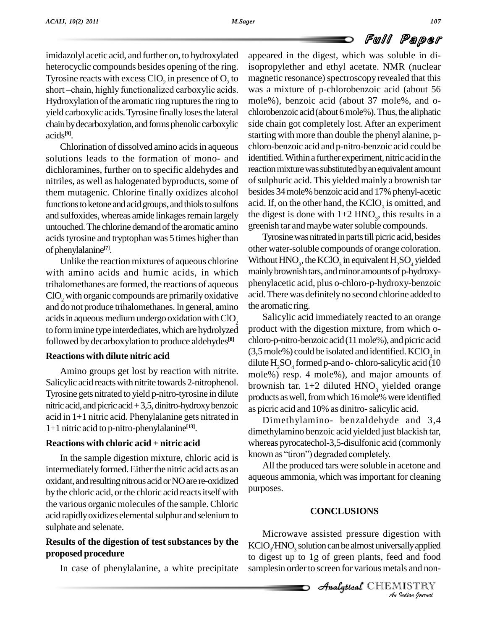imidazolyl acetic acid, and further on, to hydroxylated heterocyclic compounds besides opening of the ring. Tyrosine reacts with excess  $CIO_2$  in presence of  $O_2$  to 1 short-chain, highly functionalized carboxylic acids. Hydroxylation of the aromatic ring ruptures the ring to yield carboxylic acids. Tyrosine finally loses the lateral chlorobenzoic acid (about 6 mole%). Thus, the aliphatic chain by decarboxylation, and forms phenolic carboxylic acids **[9]**.

Chlorination of dissolved amino acids in aqueous solutions leads to the formation of mono- and dichloramines, further on to specific aldehydes and nitriles, as well as halogenated byproducts, some of them mutagenic. Chlorine finally oxidizes alcohol functions to ketone and acid groups, and thiols to sulfons and sulfoxides, whereas amide linkages remain largely untouched. The chlorine demand of the aromatic amino acids tyrosine and tryptophan was 5 times higher than of phenylalanine<sup>[7]</sup>.

Unlike the reaction mixtures of aqueous chlorine with amino acids and humic acids, in which trihalomethanes are formed, the reactions of aqueous ClO<sub>2</sub> with organic compounds are primarily oxidative and do not produce trihalomethanes. In general, amino acids in aqueous medium undergo oxidation with ClO<sub>2</sub> to form imine type interdediates, which are hydrolyzed followed by decarboxylation to produce aldehydes **[8]**

## **Reactions with dilute nitric acid**

Amino groups get lost by reaction with nitrite. Salicylic acid reactswith nitrite towards 2-nitrophenol. Tyrosine gets nitrated to yield p-nitro-tyrosine in dilute nitric acid, and picric acid  $+3,5$ , dinitro-hydroxy benzoic acid in 1+1 nitric acid. Phenylalanine gets nitrated in 1+1 nitric acid to p-nitro-phenylalanine **[13]**.

## **Reactions with chloric acid + nitric acid**

In the sample digestion mixture, chloric acid is known as "tiron") degraded completely. intermediately formed. Either the nitric acid acts as an oxidant, andresultingnitrous acidorNOare re-oxidized by the chloric acid, or the chloric acid reacts itself with the various organic molecules of the sample. Chloric acid rapidly oxidizes elemental sulphur and selenium to sulphate and selenate.

## **Results of the digestion of test substances by the proposed procedure**

In case of phenylalanine, a white precipitate

to magnetic resonance) spectroscopy revealed that this appeared in the digest, which was soluble in diisopropylether and ethyl acetate. NMR (nuclear was a mixture of p-chlorobenzoic acid (about 56 mole%), benzoic acid (about 37 mole%, and oside chain got completely lost. After an experiment starting with more than double the phenyl alanine, p chloro-benzoic acid and p-nitro-benzoic acid could be identified. Within a further experiment, nitric acid in the reaction mixture was substituted by an equivalent amount ofsulphuric acid. This yielded mainly a brownish tar besides 34 mole% benzoic acid and 17% phenyl-acetic acid. If, on the other hand, the  $KClO<sub>3</sub>$  is omitted, and the digest is done with  $1+2$  HNO<sub>3</sub>, this results in a greenish tar and maybe water soluble compounds.

Tyrosine was nitrated in parts till picric acid, besides other water-soluble compounds of orange coloration. Without  $\text{HNO}_3$ , the KClO<sub>3</sub> in equivalent  $\text{H}_2\text{SO}_4$  yielded mainly brownish tars, and minor amounts of p-hydroxyphenylacetic acid, plus o-chloro-p-hydroxy-benzoic acid.Therewas definitelyno second chlorine added to the aromatic ring.

Salicylic acid immediately reacted to an orange product with the digestion mixture, from which o chloro-p-nitro-benzoic acid(11mole%), and picric acid  $(3,5 \text{ mole\%})$  could be isolated and identified. KClO<sub>3</sub> in dilute  $H_5SO_4$  formed p-and o- chloro-salicylic acid (10 mole%) resp. 4 mole%), and major amounts of brownish tar.  $1+2$  diluted HNO<sub>3</sub> yielded orange products as well, from which 16 mole% were identified as picric acid and 10% as dinitro-salicylic acid.

Dimethylamino- benzaldehyde and 3,4 dimethylamino benzoic acid yielded just blackish tar,<br>whereas pyrocatechol-3,5-disulfonic acid (commonly<br>known as ''tiron'') degraded completely. whereas pyrocatechol-3,5-disulfonic acid (commonly

All the produced tars were soluble in acetone and aqueous ammonia, which wasimportant for cleaning purposes.

## **CONCLUSIONS**

*Microwave assisted pressure digestion with Indian Indian*<br>*Indian Indian*<br>*IISTRY*<br>*Indian bournal*  $\mathrm{KClO}_3/\mathrm{HNO}_3$  solution can be almost universally applied to digest up to 1g of green plants, feed and food samplesin order to screen for various metals and non-

Analytical CHEMISTRY